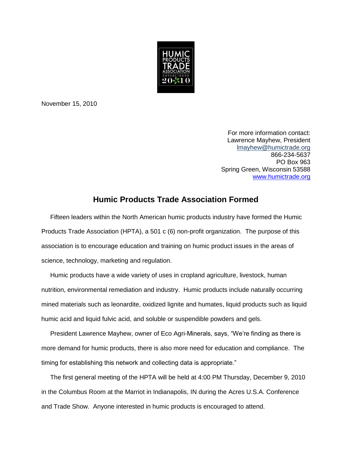

November 15, 2010

For more information contact: Lawrence Mayhew, President [lmayhew@humictrade.org](mailto:lmayhew@humictrade.org) 866-234-5637 PO Box 963 Spring Green, Wisconsin 53588 [www.humictrade.org](http://www.humictrade.org/)

## **Humic Products Trade Association Formed**

 Fifteen leaders within the North American humic products industry have formed the Humic Products Trade Association (HPTA), a 501 c (6) non-profit organization. The purpose of this association is to encourage education and training on humic product issues in the areas of science, technology, marketing and regulation.

 Humic products have a wide variety of uses in cropland agriculture, livestock, human nutrition, environmental remediation and industry. Humic products include naturally occurring mined materials such as leonardite, oxidized lignite and humates, liquid products such as liquid humic acid and liquid fulvic acid, and soluble or suspendible powders and gels.

 President Lawrence Mayhew, owner of Eco Agri-Minerals, says, "We're finding as there is more demand for humic products, there is also more need for education and compliance. The timing for establishing this network and collecting data is appropriate."

 The first general meeting of the HPTA will be held at 4:00 PM Thursday, December 9, 2010 in the Columbus Room at the Marriot in Indianapolis, IN during the Acres U.S.A. Conference and Trade Show. Anyone interested in humic products is encouraged to attend.